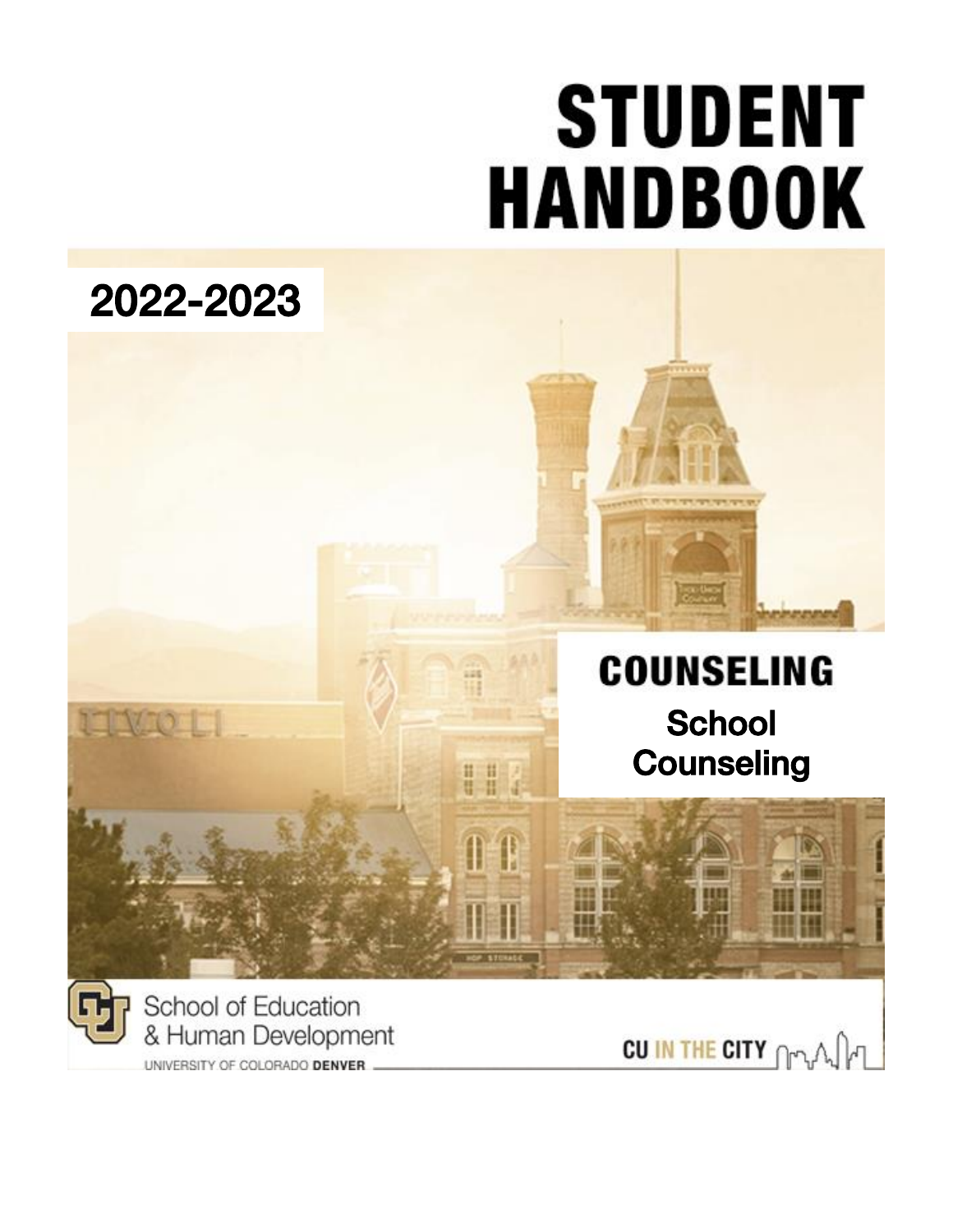# **STUDENT HANDBOOK**

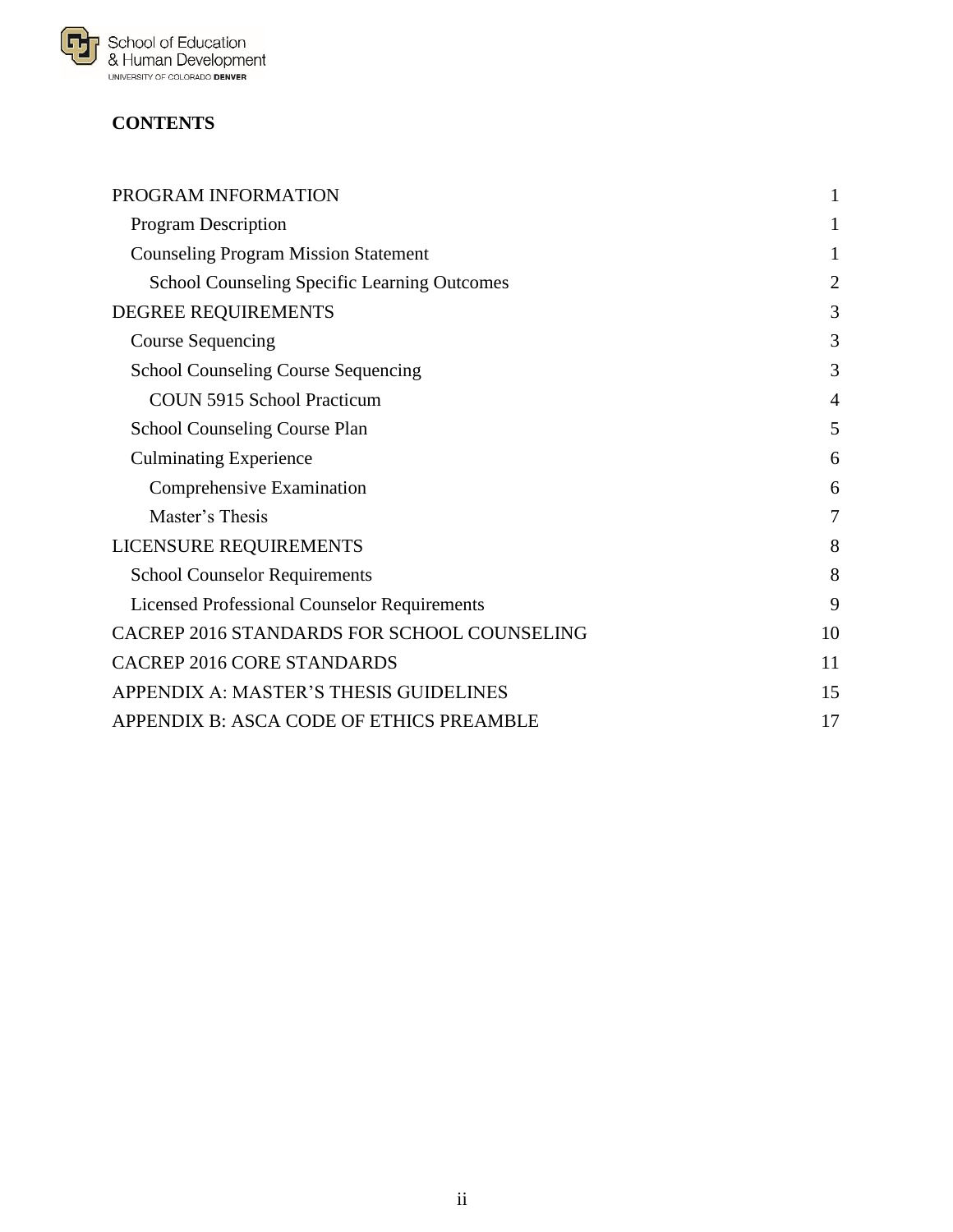

# **CONTENTS**

| PROGRAM INFORMATION                                 | 1              |
|-----------------------------------------------------|----------------|
| <b>Program Description</b>                          | 1              |
| <b>Counseling Program Mission Statement</b>         | 1              |
| <b>School Counseling Specific Learning Outcomes</b> | $\overline{2}$ |
| DEGREE REQUIREMENTS                                 | 3              |
| <b>Course Sequencing</b>                            | 3              |
| <b>School Counseling Course Sequencing</b>          | 3              |
| COUN 5915 School Practicum                          | $\overline{4}$ |
| School Counseling Course Plan                       | 5              |
| <b>Culminating Experience</b>                       | 6              |
| Comprehensive Examination                           | 6              |
| Master's Thesis                                     | 7              |
| LICENSURE REQUIREMENTS                              | 8              |
| <b>School Counselor Requirements</b>                | 8              |
| <b>Licensed Professional Counselor Requirements</b> | 9              |
| CACREP 2016 STANDARDS FOR SCHOOL COUNSELING         | 10             |
| CACREP 2016 CORE STANDARDS                          | 11             |
| APPENDIX A: MASTER'S THESIS GUIDELINES              | 15             |
| APPENDIX B: ASCA CODE OF ETHICS PREAMBLE            | 17             |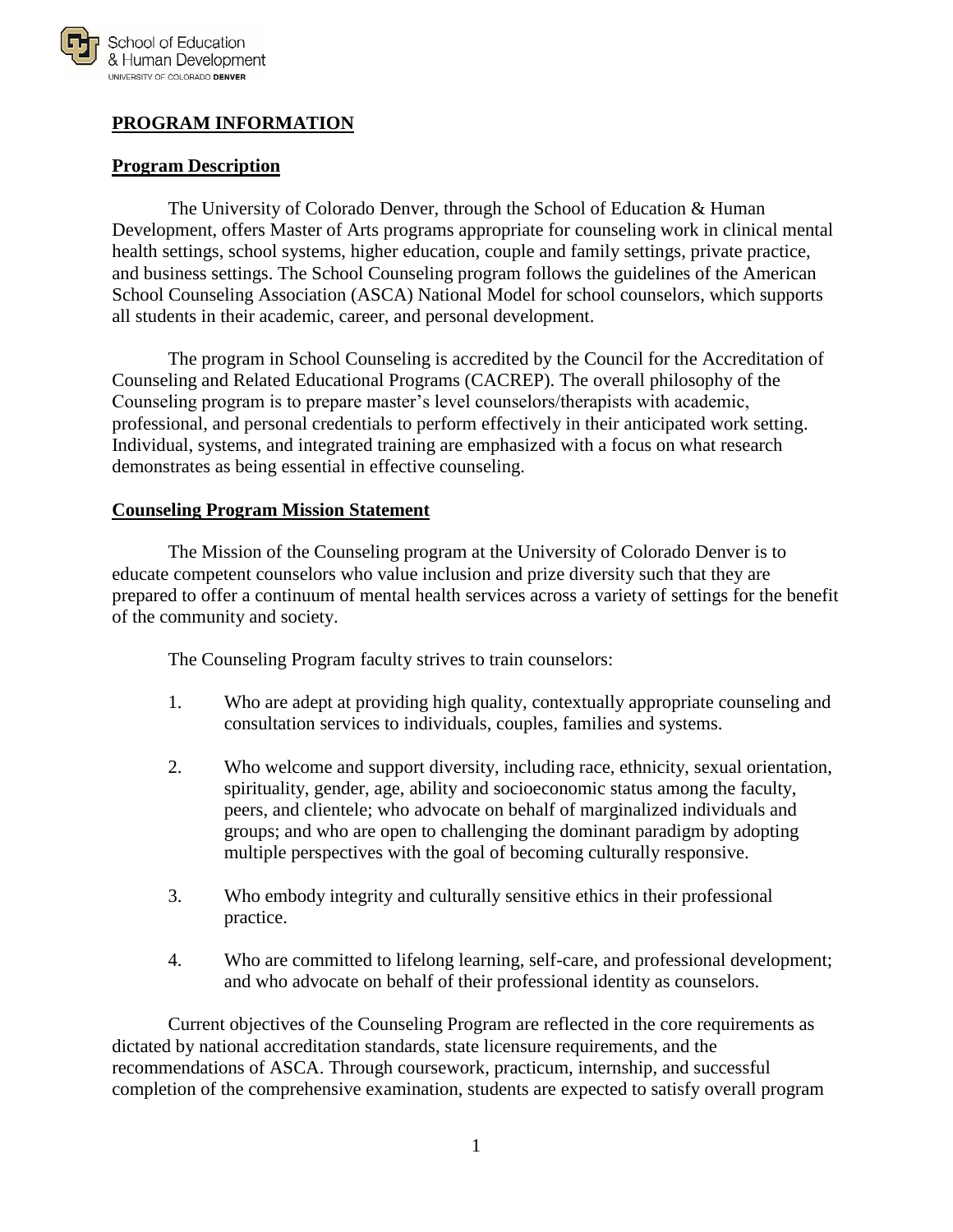

# <span id="page-2-0"></span>**PROGRAM INFORMATION**

#### <span id="page-2-1"></span>**Program Description**

The University of Colorado Denver, through the School of Education & Human Development, offers Master of Arts programs appropriate for counseling work in clinical mental health settings, school systems, higher education, couple and family settings, private practice, and business settings. The School Counseling program follows the guidelines of the American School Counseling Association (ASCA) National Model for school counselors, which supports all students in their academic, career, and personal development.

The program in School Counseling is accredited by the Council for the Accreditation of Counseling and Related Educational Programs (CACREP). The overall philosophy of the Counseling program is to prepare master's level counselors/therapists with academic, professional, and personal credentials to perform effectively in their anticipated work setting. Individual, systems, and integrated training are emphasized with a focus on what research demonstrates as being essential in effective counseling.

#### <span id="page-2-2"></span>**Counseling Program Mission Statement**

The Mission of the Counseling program at the University of Colorado Denver is to educate competent counselors who value inclusion and prize diversity such that they are prepared to offer a continuum of mental health services across a variety of settings for the benefit of the community and society.

The Counseling Program faculty strives to train counselors:

- 1. Who are adept at providing high quality, contextually appropriate counseling and consultation services to individuals, couples, families and systems.
- 2. Who welcome and support diversity, including race, ethnicity, sexual orientation, spirituality, gender, age, ability and socioeconomic status among the faculty, peers, and clientele; who advocate on behalf of marginalized individuals and groups; and who are open to challenging the dominant paradigm by adopting multiple perspectives with the goal of becoming culturally responsive.
- 3. Who embody integrity and culturally sensitive ethics in their professional practice.
- 4. Who are committed to lifelong learning, self-care, and professional development; and who advocate on behalf of their professional identity as counselors.

Current objectives of the Counseling Program are reflected in the core requirements as dictated by national accreditation standards, state licensure requirements, and the recommendations of ASCA. Through coursework, practicum, internship, and successful completion of the comprehensive examination, students are expected to satisfy overall program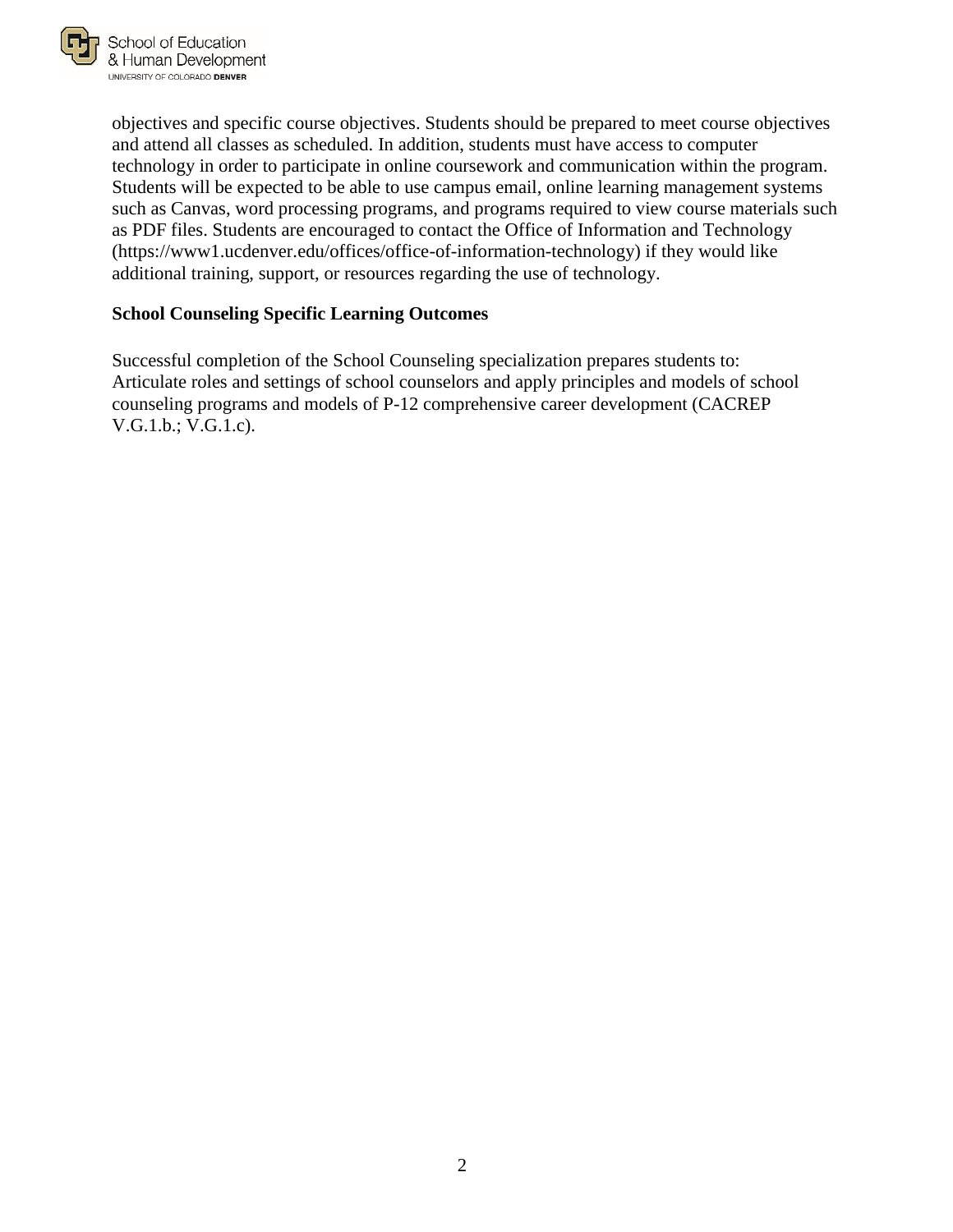

objectives and specific course objectives. Students should be prepared to meet course objectives and attend all classes as scheduled. In addition, students must have access to computer technology in order to participate in online coursework and communication within the program. Students will be expected to be able to use campus email, online learning management systems such as Canvas, word processing programs, and programs required to view course materials such as PDF files. Students are encouraged to contact the Office of Information and Technology (https://www1.ucdenver.edu/offices/office-of-information-technology) if they would like additional training, support, or resources regarding the use of technology.

#### <span id="page-3-0"></span>**School Counseling Specific Learning Outcomes**

Successful completion of the School Counseling specialization prepares students to: Articulate roles and settings of school counselors and apply principles and models of school counseling programs and models of P-12 comprehensive career development (CACREP V.G.1.b.; V.G.1.c).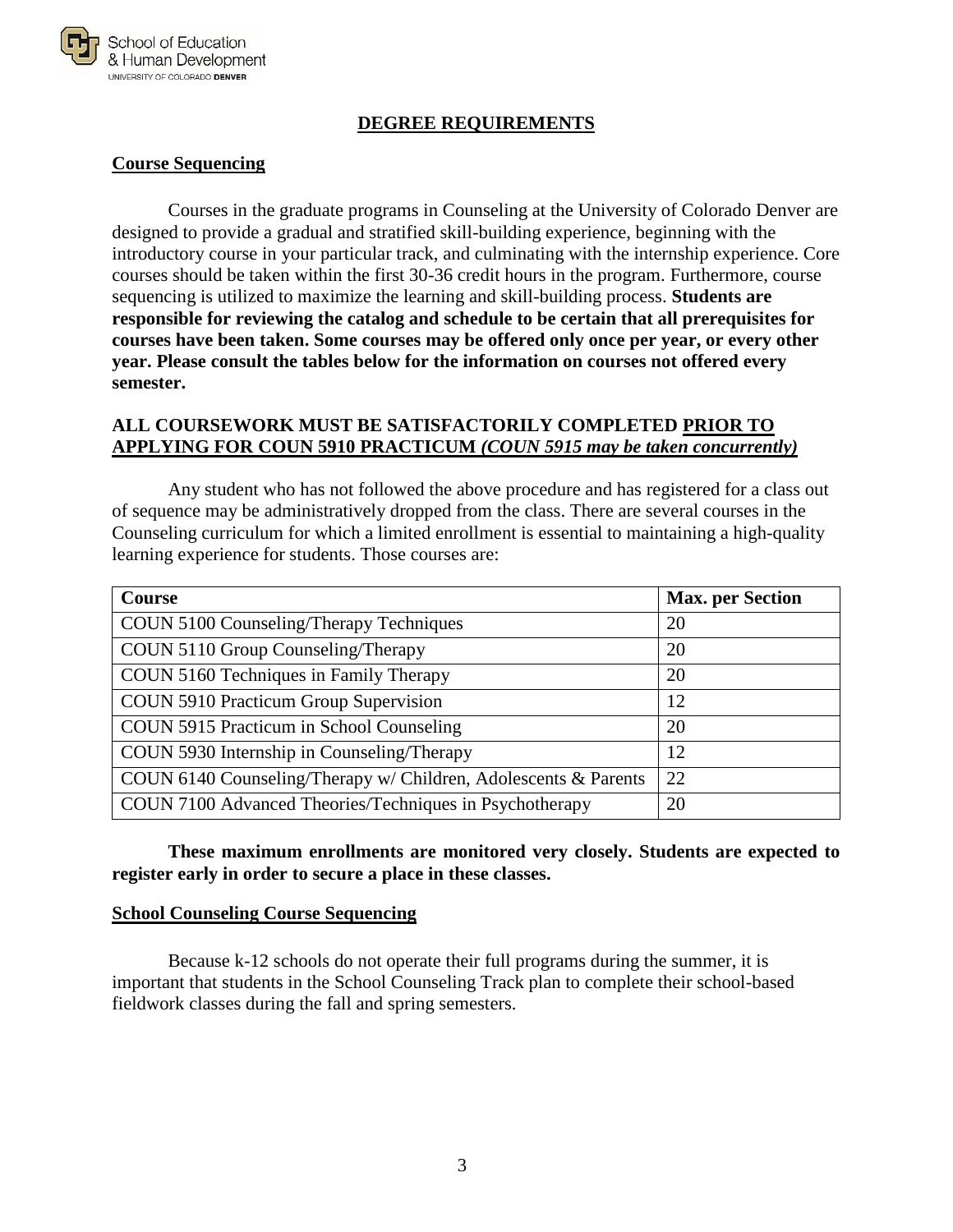

#### **DEGREE REQUIREMENTS**

#### <span id="page-4-1"></span><span id="page-4-0"></span>**Course Sequencing**

Courses in the graduate programs in Counseling at the University of Colorado Denver are designed to provide a gradual and stratified skill-building experience, beginning with the introductory course in your particular track, and culminating with the internship experience. Core courses should be taken within the first 30-36 credit hours in the program. Furthermore, course sequencing is utilized to maximize the learning and skill-building process. **Students are responsible for reviewing the catalog and schedule to be certain that all prerequisites for courses have been taken. Some courses may be offered only once per year, or every other year. Please consult the tables below for the information on courses not offered every semester.**

#### **ALL COURSEWORK MUST BE SATISFACTORILY COMPLETED PRIOR TO APPLYING FOR COUN 5910 PRACTICUM** *(COUN 5915 may be taken concurrently)*

Any student who has not followed the above procedure and has registered for a class out of sequence may be administratively dropped from the class. There are several courses in the Counseling curriculum for which a limited enrollment is essential to maintaining a high-quality learning experience for students. Those courses are:

| Course                                                          | <b>Max.</b> per Section |
|-----------------------------------------------------------------|-------------------------|
| COUN 5100 Counseling/Therapy Techniques                         | 20                      |
| COUN 5110 Group Counseling/Therapy                              | 20                      |
| COUN 5160 Techniques in Family Therapy                          | 20                      |
| COUN 5910 Practicum Group Supervision                           | 12                      |
| COUN 5915 Practicum in School Counseling                        | 20                      |
| COUN 5930 Internship in Counseling/Therapy                      | 12                      |
| COUN 6140 Counseling/Therapy w/ Children, Adolescents & Parents | 22                      |
| COUN 7100 Advanced Theories/Techniques in Psychotherapy         | 20                      |

**These maximum enrollments are monitored very closely. Students are expected to register early in order to secure a place in these classes.**

#### <span id="page-4-2"></span>**School Counseling Course Sequencing**

Because k-12 schools do not operate their full programs during the summer, it is important that students in the School Counseling Track plan to complete their school-based fieldwork classes during the fall and spring semesters.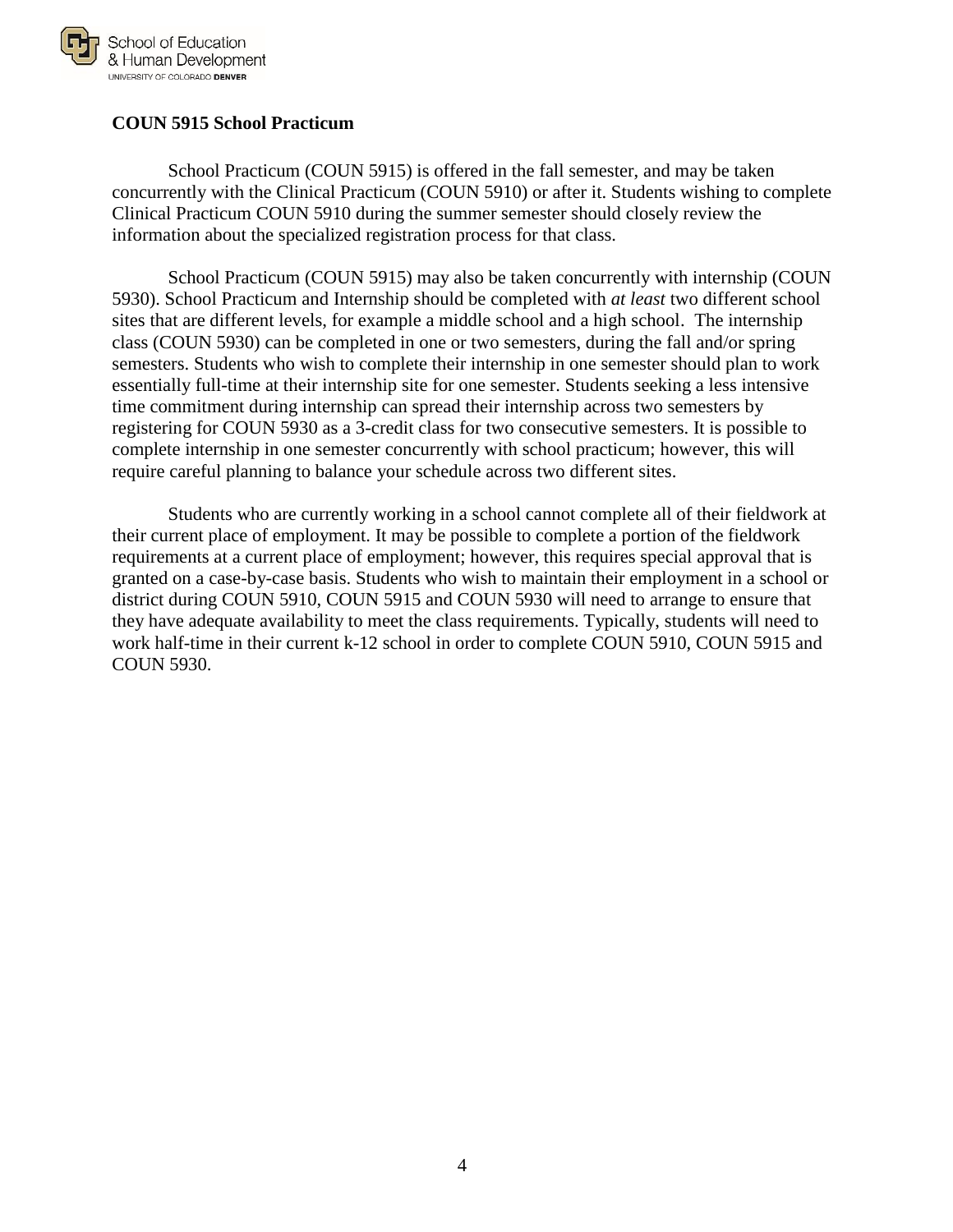

#### <span id="page-5-0"></span>**COUN 5915 School Practicum**

School Practicum (COUN 5915) is offered in the fall semester, and may be taken concurrently with the Clinical Practicum (COUN 5910) or after it. Students wishing to complete Clinical Practicum COUN 5910 during the summer semester should closely review the information about the specialized registration process for that class.

School Practicum (COUN 5915) may also be taken concurrently with internship (COUN 5930). School Practicum and Internship should be completed with *at least* two different school sites that are different levels, for example a middle school and a high school. The internship class (COUN 5930) can be completed in one or two semesters, during the fall and/or spring semesters. Students who wish to complete their internship in one semester should plan to work essentially full-time at their internship site for one semester. Students seeking a less intensive time commitment during internship can spread their internship across two semesters by registering for COUN 5930 as a 3-credit class for two consecutive semesters. It is possible to complete internship in one semester concurrently with school practicum; however, this will require careful planning to balance your schedule across two different sites.

Students who are currently working in a school cannot complete all of their fieldwork at their current place of employment. It may be possible to complete a portion of the fieldwork requirements at a current place of employment; however, this requires special approval that is granted on a case-by-case basis. Students who wish to maintain their employment in a school or district during COUN 5910, COUN 5915 and COUN 5930 will need to arrange to ensure that they have adequate availability to meet the class requirements. Typically, students will need to work half-time in their current k-12 school in order to complete COUN 5910, COUN 5915 and COUN 5930.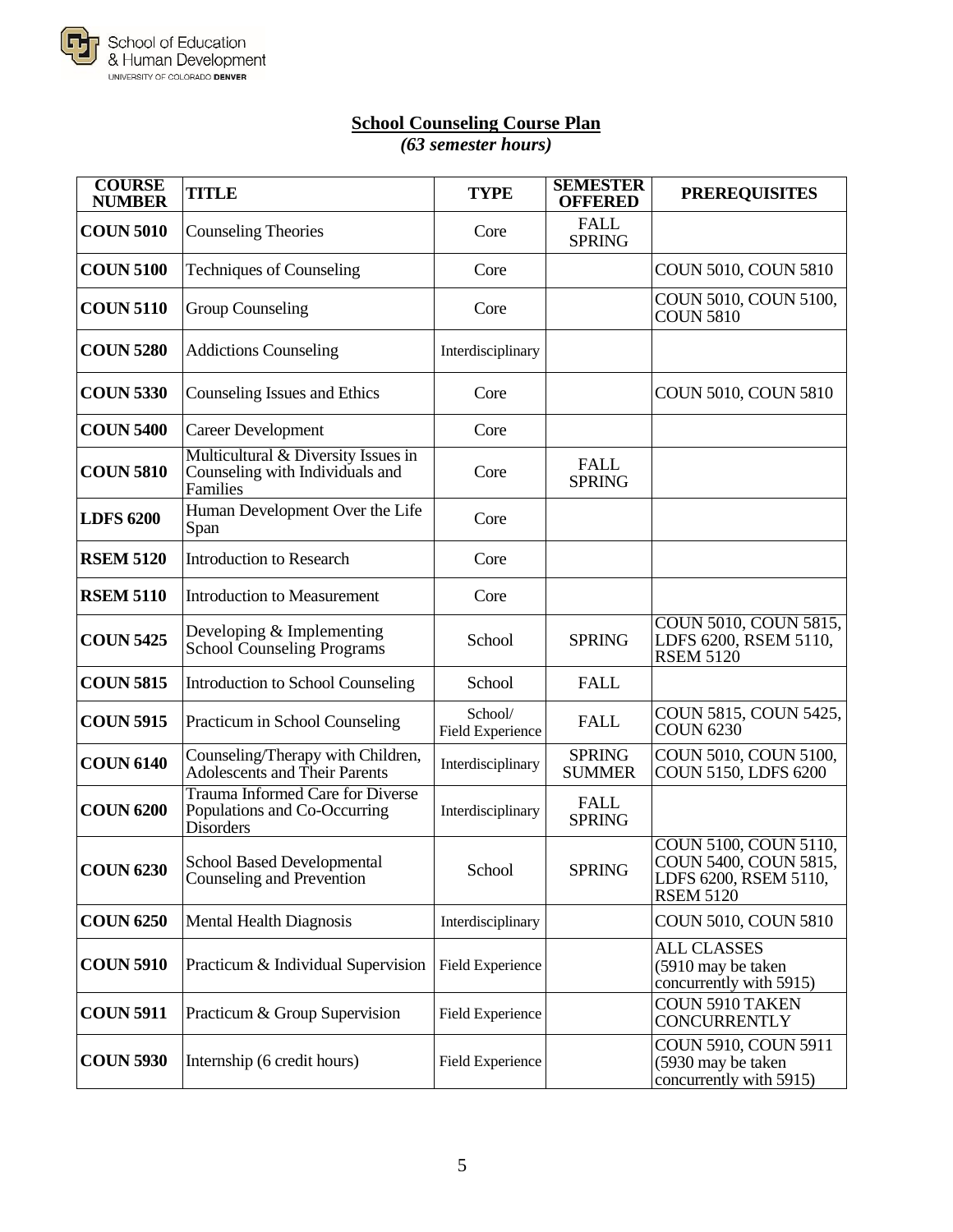

# **School Counseling Course Plan**

*(63 semester hours)*

<span id="page-6-0"></span>

| <b>COURSE</b><br><b>NUMBER</b> | TITLE                                                                              | <b>TYPE</b>                 | <b>SEMESTER</b><br><b>OFFERED</b> | <b>PREREQUISITES</b>                                                                        |
|--------------------------------|------------------------------------------------------------------------------------|-----------------------------|-----------------------------------|---------------------------------------------------------------------------------------------|
| <b>COUN 5010</b>               | <b>Counseling Theories</b>                                                         | Core                        | <b>FALL</b><br><b>SPRING</b>      |                                                                                             |
| <b>COUN 5100</b>               | <b>Techniques of Counseling</b>                                                    | Core                        |                                   | COUN 5010, COUN 5810                                                                        |
| <b>COUN 5110</b>               | <b>Group Counseling</b>                                                            | Core                        |                                   | COUN 5010, COUN 5100,<br><b>COUN 5810</b>                                                   |
| <b>COUN 5280</b>               | <b>Addictions Counseling</b>                                                       | Interdisciplinary           |                                   |                                                                                             |
| <b>COUN 5330</b>               | Counseling Issues and Ethics                                                       | Core                        |                                   | <b>COUN 5010, COUN 5810</b>                                                                 |
| <b>COUN 5400</b>               | <b>Career Development</b>                                                          | Core                        |                                   |                                                                                             |
| <b>COUN 5810</b>               | Multicultural & Diversity Issues in<br>Counseling with Individuals and<br>Families | Core                        | <b>FALL</b><br><b>SPRING</b>      |                                                                                             |
| <b>LDFS 6200</b>               | Human Development Over the Life<br>Span                                            | Core                        |                                   |                                                                                             |
| <b>RSEM 5120</b>               | <b>Introduction to Research</b>                                                    | Core                        |                                   |                                                                                             |
| <b>RSEM 5110</b>               | <b>Introduction to Measurement</b>                                                 | Core                        |                                   |                                                                                             |
| <b>COUN 5425</b>               | Developing & Implementing<br><b>School Counseling Programs</b>                     | School                      | <b>SPRING</b>                     | <b>COUN 5010, COUN 5815,</b><br>LDFS 6200, RSEM 5110,<br><b>RSEM 5120</b>                   |
| <b>COUN 5815</b>               | Introduction to School Counseling                                                  | School                      | <b>FALL</b>                       |                                                                                             |
| <b>COUN 5915</b>               | Practicum in School Counseling                                                     | School/<br>Field Experience | <b>FALL</b>                       | COUN 5815, COUN 5425,<br><b>COUN 6230</b>                                                   |
| <b>COUN 6140</b>               | Counseling/Therapy with Children,<br>Adolescents and Their Parents                 | Interdisciplinary           | <b>SPRING</b><br><b>SUMMER</b>    | COUN 5010, COUN 5100,<br>COUN 5150, LDFS 6200                                               |
| <b>COUN 6200</b>               | Trauma Informed Care for Diverse<br>Populations and Co-Occurring<br>Disorders      | Interdisciplinary           | <b>FALL</b><br><b>SPRING</b>      |                                                                                             |
| <b>COUN 6230</b>               | <b>School Based Developmental</b><br>Counseling and Prevention                     | School                      | <b>SPRING</b>                     | COUN 5100, COUN 5110,<br>COUN 5400, COUN 5815,<br>LDFS 6200, RSEM 5110,<br><b>RSEM 5120</b> |
| <b>COUN 6250</b>               | <b>Mental Health Diagnosis</b>                                                     | Interdisciplinary           |                                   | COUN 5010, COUN 5810                                                                        |
| <b>COUN 5910</b>               | Practicum & Individual Supervision                                                 | Field Experience            |                                   | <b>ALL CLASSES</b><br>(5910 may be taken<br>concurrently with 5915)                         |
| <b>COUN 5911</b>               | Practicum & Group Supervision                                                      | <b>Field Experience</b>     |                                   | <b>COUN 5910 TAKEN</b><br><b>CONCURRENTLY</b>                                               |
| <b>COUN 5930</b>               | Internship (6 credit hours)                                                        | <b>Field Experience</b>     |                                   | COUN 5910, COUN 5911<br>(5930 may be taken<br>concurrently with 5915)                       |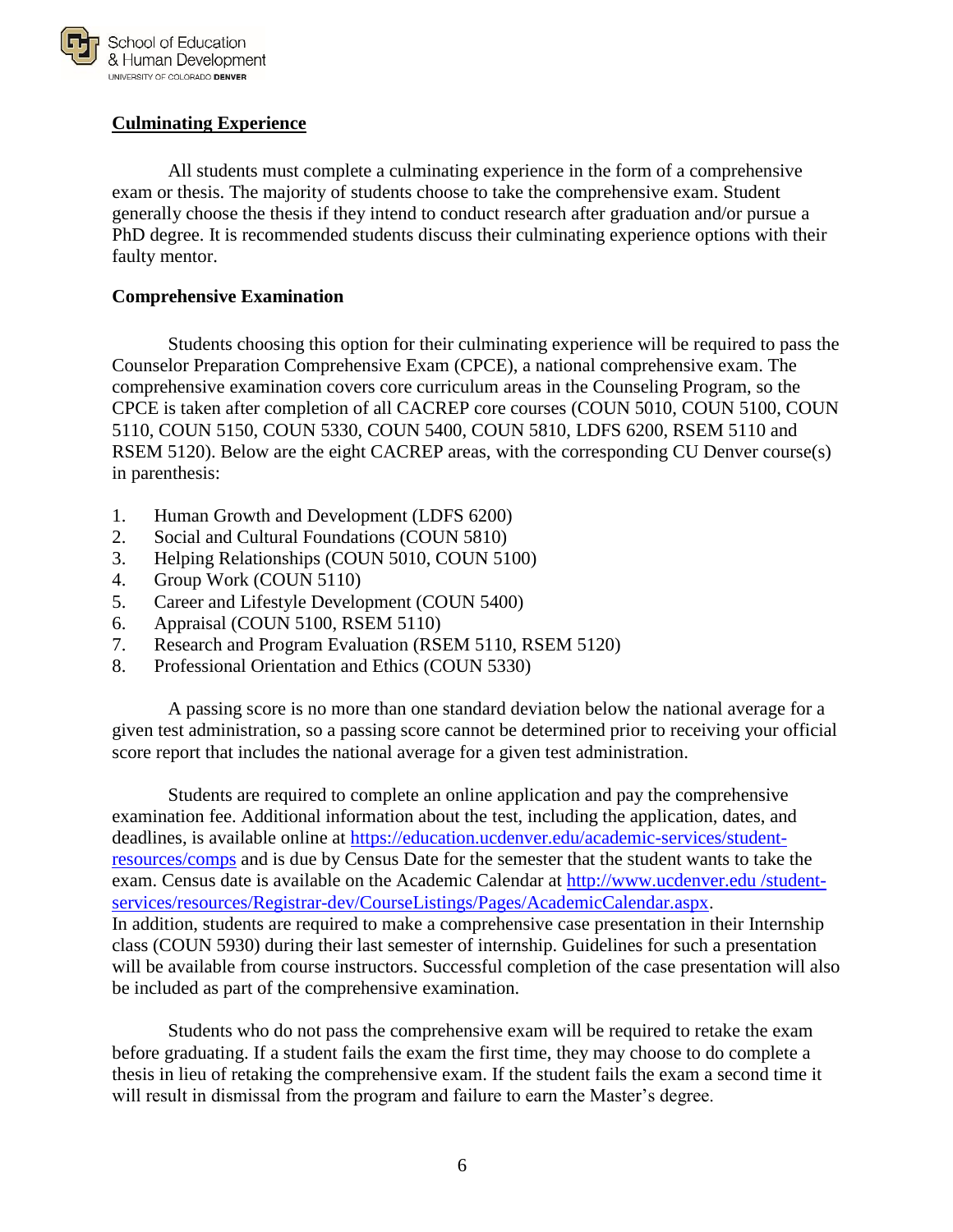

#### <span id="page-7-0"></span>**Culminating Experience**

All students must complete a culminating experience in the form of a comprehensive exam or thesis. The majority of students choose to take the comprehensive exam. Student generally choose the thesis if they intend to conduct research after graduation and/or pursue a PhD degree. It is recommended students discuss their culminating experience options with their faulty mentor.

#### <span id="page-7-1"></span>**Comprehensive Examination**

Students choosing this option for their culminating experience will be required to pass the Counselor Preparation Comprehensive Exam (CPCE), a national comprehensive exam. The comprehensive examination covers core curriculum areas in the Counseling Program, so the CPCE is taken after completion of all CACREP core courses (COUN 5010, COUN 5100, COUN 5110, COUN 5150, COUN 5330, COUN 5400, COUN 5810, LDFS 6200, RSEM 5110 and RSEM 5120). Below are the eight CACREP areas, with the corresponding CU Denver course(s) in parenthesis:

- 1. Human Growth and Development (LDFS 6200)
- 2. Social and Cultural Foundations (COUN 5810)
- 3. Helping Relationships (COUN 5010, COUN 5100)
- 4. Group Work (COUN 5110)
- 5. Career and Lifestyle Development (COUN 5400)
- 6. Appraisal (COUN 5100, RSEM 5110)
- 7. Research and Program Evaluation (RSEM 5110, RSEM 5120)
- 8. Professional Orientation and Ethics (COUN 5330)

A passing score is no more than one standard deviation below the national average for a given test administration, so a passing score cannot be determined prior to receiving your official score report that includes the national average for a given test administration.

Students are required to complete an online application and pay the comprehensive examination fee. Additional information about the test, including the application, dates, and deadlines, is available online at [https://education.ucdenver.edu/academic-services/student](https://education.ucdenver.edu/academic-services/student-resources/comps)[resources/comps](https://education.ucdenver.edu/academic-services/student-resources/comps) and is due by Census Date for the semester that the student wants to take the exam. Census date is available on the Academic Calendar at http://www.ucdenver.edu /studentservices/resources/Registrar-dev/CourseListings/Pages/AcademicCalendar.aspx. In addition, students are required to make a comprehensive case presentation in their Internship class (COUN 5930) during their last semester of internship. Guidelines for such a presentation will be available from course instructors. Successful completion of the case presentation will also be included as part of the comprehensive examination.

Students who do not pass the comprehensive exam will be required to retake the exam before graduating. If a student fails the exam the first time, they may choose to do complete a thesis in lieu of retaking the comprehensive exam. If the student fails the exam a second time it will result in dismissal from the program and failure to earn the Master's degree.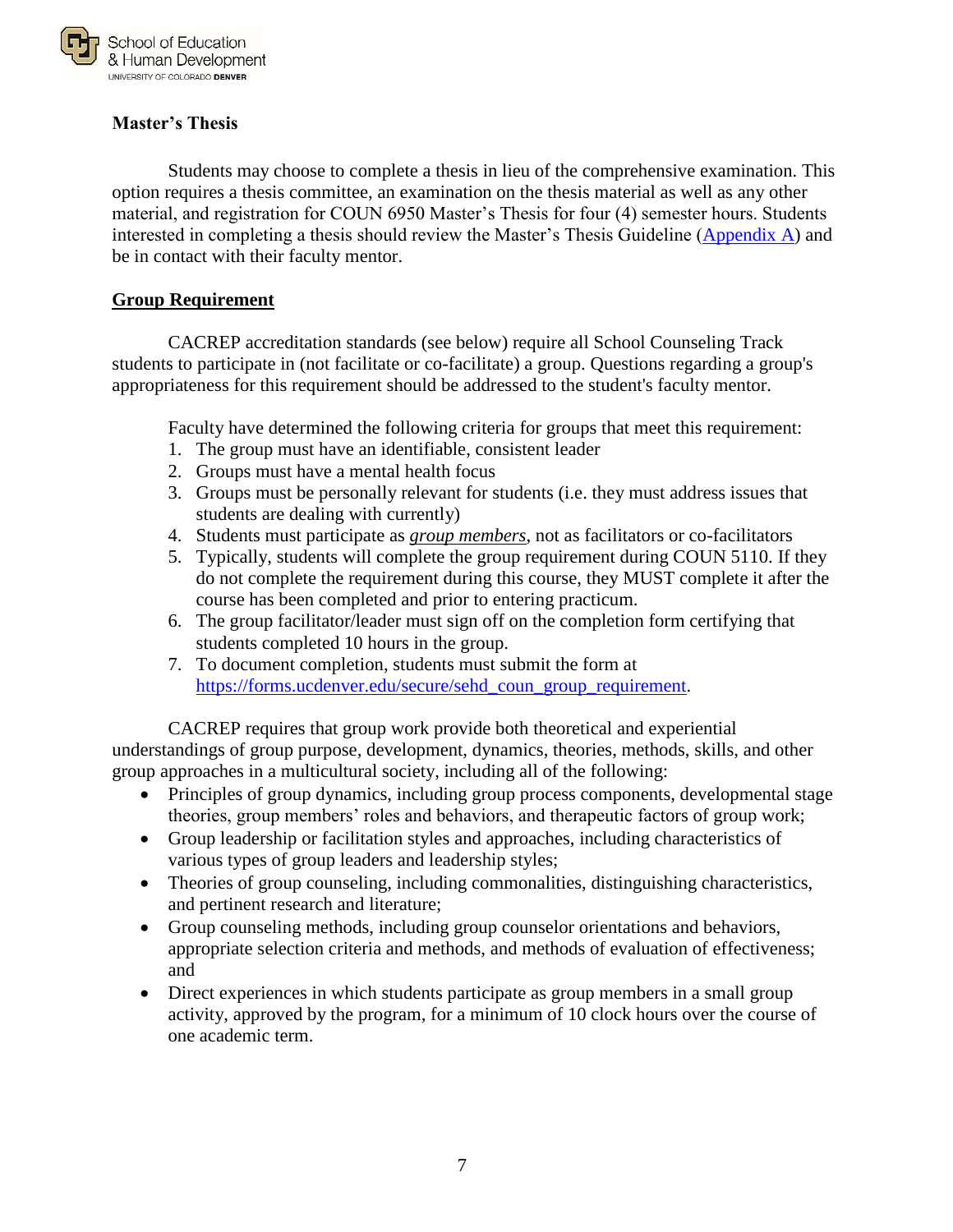

#### <span id="page-8-0"></span>**Master's Thesis**

Students may choose to complete a thesis in lieu of the comprehensive examination. This option requires a thesis committee, an examination on the thesis material as well as any other material, and registration for COUN 6950 Master's Thesis for four (4) semester hours. Students interested in completing a thesis should review the Master's Thesis Guideline [\(Appendix A\)](#page-16-0) and be in contact with their faculty mentor.

#### **Group Requirement**

CACREP accreditation standards (see below) require all School Counseling Track students to participate in (not facilitate or co-facilitate) a group. Questions regarding a group's appropriateness for this requirement should be addressed to the student's faculty mentor.

Faculty have determined the following criteria for groups that meet this requirement:

- 1. The group must have an identifiable, consistent leader
- 2. Groups must have a mental health focus
- 3. Groups must be personally relevant for students (i.e. they must address issues that students are dealing with currently)
- 4. Students must participate as *group members*, not as facilitators or co-facilitators
- 5. Typically, students will complete the group requirement during COUN 5110. If they do not complete the requirement during this course, they MUST complete it after the course has been completed and prior to entering practicum.
- 6. The group facilitator/leader must sign off on the completion form certifying that students completed 10 hours in the group.
- 7. To document completion, students must submit the form at [https://forms.ucdenver.edu/secure/sehd\\_coun\\_group\\_requirement.](https://forms.ucdenver.edu/secure/sehd_coun_group_requirement)

CACREP requires that group work provide both theoretical and experiential understandings of group purpose*,* development, dynamics, theories, methods, skills, and other group approaches in a multicultural society, including all of the following:

- Principles of group dynamics, including group process components, developmental stage theories, group members' roles and behaviors, and therapeutic factors of group work;
- Group leadership or facilitation styles and approaches, including characteristics of various types of group leaders and leadership styles;
- Theories of group counseling, including commonalities, distinguishing characteristics, and pertinent research and literature;
- Group counseling methods, including group counselor orientations and behaviors, appropriate selection criteria and methods, and methods of evaluation of effectiveness; and
- Direct experiences in which students participate as group members in a small group activity, approved by the program, for a minimum of 10 clock hours over the course of one academic term.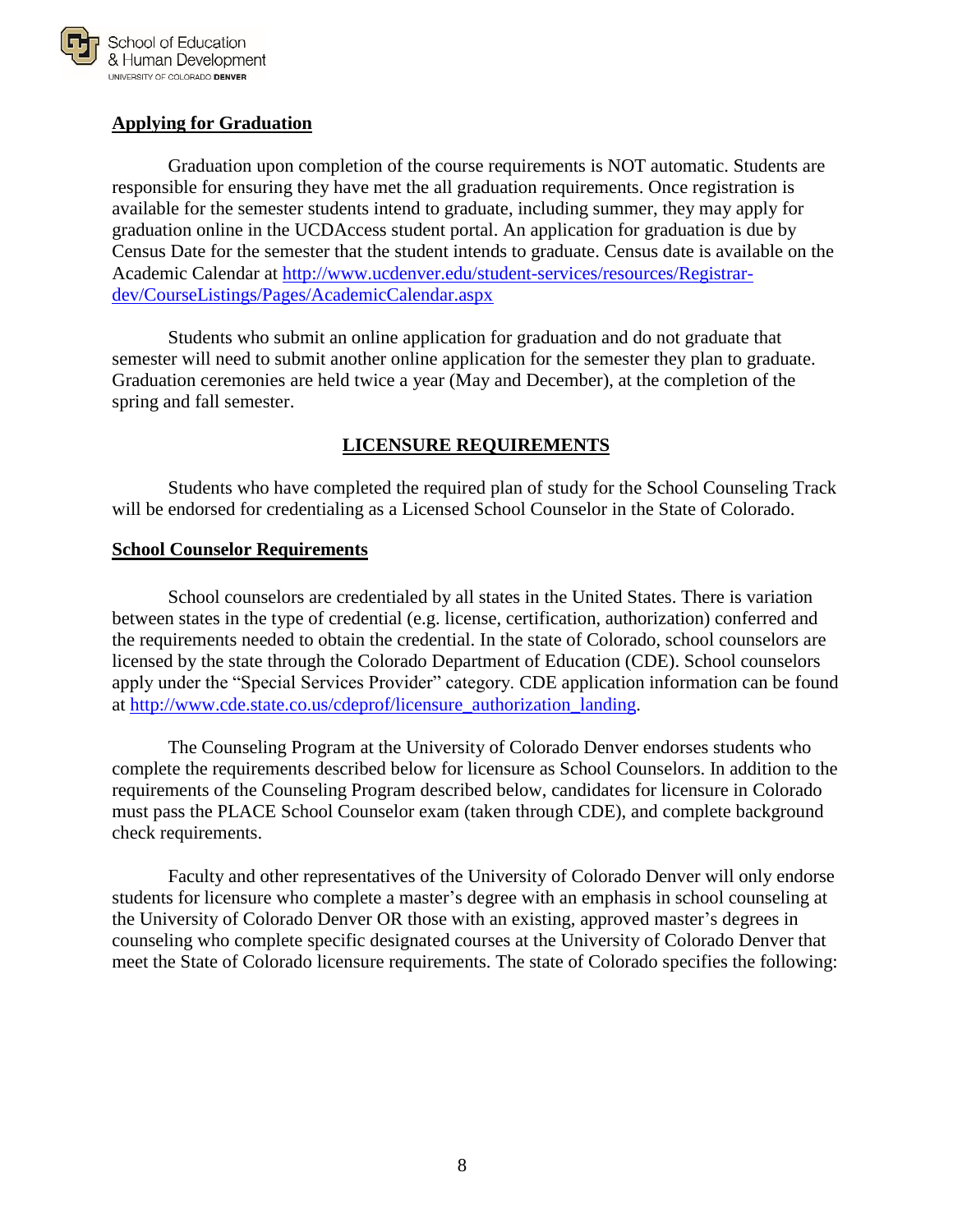

#### **Applying for Graduation**

Graduation upon completion of the course requirements is NOT automatic. Students are responsible for ensuring they have met the all graduation requirements. Once registration is available for the semester students intend to graduate, including summer, they may apply for graduation online in the UCDAccess student portal. An application for graduation is due by Census Date for the semester that the student intends to graduate. Census date is available on the Academic Calendar at [http://www.ucdenver.edu/student-services/resources/Registrar](http://www.ucdenver.edu/student-services/resources/Registrar-dev/CourseListings/Pages/AcademicCalendar.aspx)[dev/CourseListings/Pages/AcademicCalendar.aspx](http://www.ucdenver.edu/student-services/resources/Registrar-dev/CourseListings/Pages/AcademicCalendar.aspx)

Students who submit an online application for graduation and do not graduate that semester will need to submit another online application for the semester they plan to graduate. Graduation ceremonies are held twice a year (May and December), at the completion of the spring and fall semester.

### **LICENSURE REQUIREMENTS**

<span id="page-9-0"></span>Students who have completed the required plan of study for the School Counseling Track will be endorsed for credentialing as a Licensed School Counselor in the State of Colorado.

#### <span id="page-9-1"></span>**School Counselor Requirements**

School counselors are credentialed by all states in the United States. There is variation between states in the type of credential (e.g. license, certification, authorization) conferred and the requirements needed to obtain the credential. In the state of Colorado, school counselors are licensed by the state through the Colorado Department of Education (CDE). School counselors apply under the "Special Services Provider" category. CDE application information can be found at [http://www.cde.state.co.us/cdeprof/licensure\\_authorization\\_landing.](http://www.cde.state.co.us/cdeprof/licensure_authorization_landing)

The Counseling Program at the University of Colorado Denver endorses students who complete the requirements described below for licensure as School Counselors. In addition to the requirements of the Counseling Program described below, candidates for licensure in Colorado must pass the PLACE School Counselor exam (taken through CDE), and complete background check requirements.

Faculty and other representatives of the University of Colorado Denver will only endorse students for licensure who complete a master's degree with an emphasis in school counseling at the University of Colorado Denver OR those with an existing, approved master's degrees in counseling who complete specific designated courses at the University of Colorado Denver that meet the State of Colorado licensure requirements. The state of Colorado specifies the following: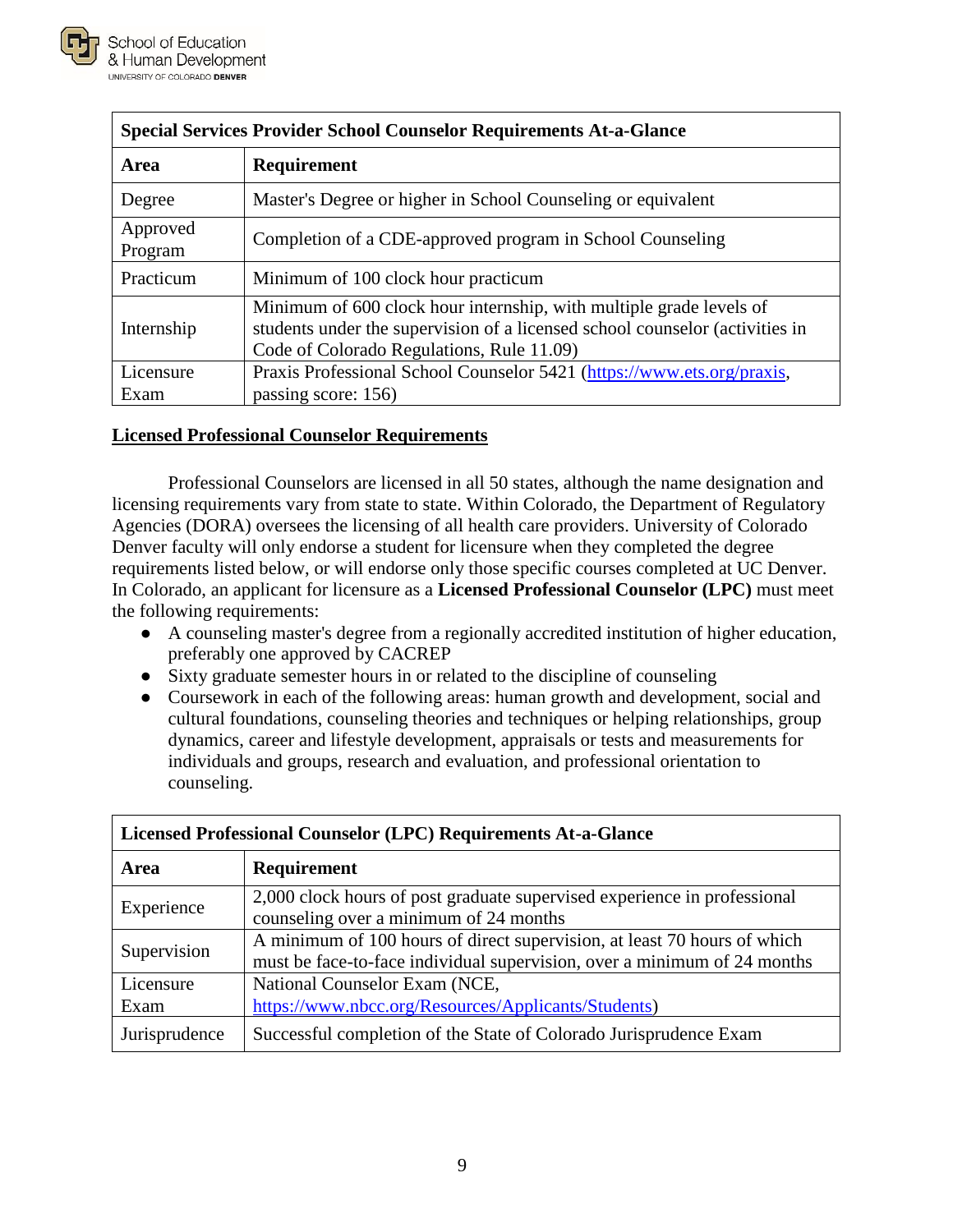

| <b>Special Services Provider School Counselor Requirements At-a-Glance</b> |                                                                                                                                                                                                  |  |  |
|----------------------------------------------------------------------------|--------------------------------------------------------------------------------------------------------------------------------------------------------------------------------------------------|--|--|
| Area                                                                       | Requirement                                                                                                                                                                                      |  |  |
| Degree                                                                     | Master's Degree or higher in School Counseling or equivalent                                                                                                                                     |  |  |
| Approved<br>Program                                                        | Completion of a CDE-approved program in School Counseling                                                                                                                                        |  |  |
| Practicum                                                                  | Minimum of 100 clock hour practicum                                                                                                                                                              |  |  |
| Internship                                                                 | Minimum of 600 clock hour internship, with multiple grade levels of<br>students under the supervision of a licensed school counselor (activities in<br>Code of Colorado Regulations, Rule 11.09) |  |  |
| Licensure                                                                  | Praxis Professional School Counselor 5421 (https://www.ets.org/praxis,                                                                                                                           |  |  |
| Exam                                                                       | passing score: 156)                                                                                                                                                                              |  |  |

#### <span id="page-10-0"></span>**Licensed Professional Counselor Requirements**

Professional Counselors are licensed in all 50 states, although the name designation and licensing requirements vary from state to state. Within Colorado, the Department of Regulatory Agencies (DORA) oversees the licensing of all health care providers. University of Colorado Denver faculty will only endorse a student for licensure when they completed the degree requirements listed below, or will endorse only those specific courses completed at UC Denver. In Colorado, an applicant for licensure as a **Licensed Professional Counselor (LPC)** must meet the following requirements:

- A counseling master's degree from a regionally accredited institution of higher education, preferably one approved by CACREP
- Sixty graduate semester hours in or related to the discipline of counseling
- Coursework in each of the following areas: human growth and development, social and cultural foundations, counseling theories and techniques or helping relationships, group dynamics, career and lifestyle development, appraisals or tests and measurements for individuals and groups, research and evaluation, and professional orientation to counseling.

| Licensed Professional Counselor (LPC) Requirements At-a-Glance |                                                                                                                                                      |  |  |
|----------------------------------------------------------------|------------------------------------------------------------------------------------------------------------------------------------------------------|--|--|
| <b>Area</b>                                                    | <b>Requirement</b>                                                                                                                                   |  |  |
| Experience                                                     | 2,000 clock hours of post graduate supervised experience in professional<br>counseling over a minimum of 24 months                                   |  |  |
| Supervision                                                    | A minimum of 100 hours of direct supervision, at least 70 hours of which<br>must be face-to-face individual supervision, over a minimum of 24 months |  |  |
| Licensure<br>Exam                                              | National Counselor Exam (NCE,<br>https://www.nbcc.org/Resources/Applicants/Students)                                                                 |  |  |
| Jurisprudence                                                  | Successful completion of the State of Colorado Jurisprudence Exam                                                                                    |  |  |

# **Licensed Professional Counselor (LPC) Requirements At-a-Glance**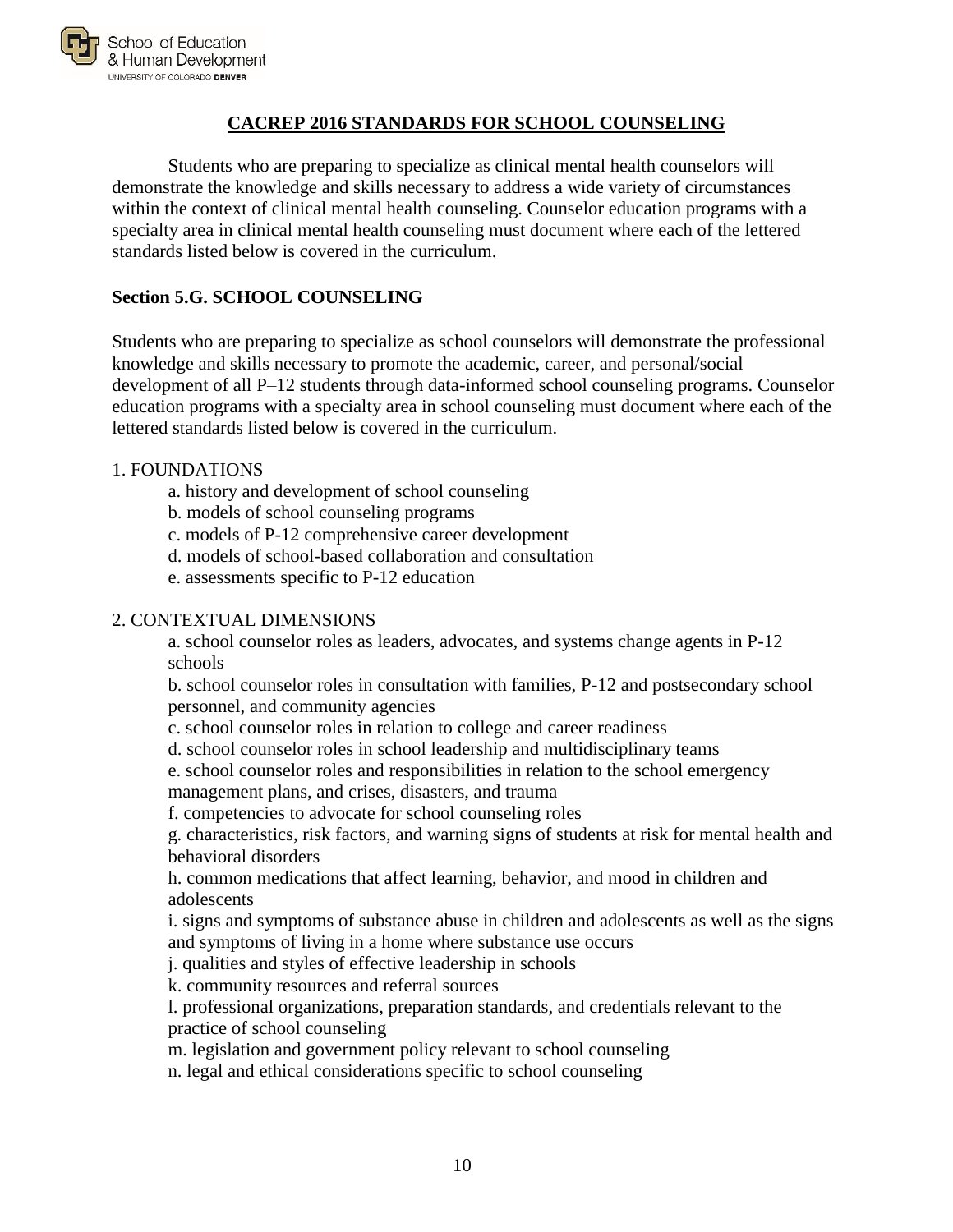

#### **CACREP 2016 STANDARDS FOR SCHOOL COUNSELING**

<span id="page-11-0"></span>Students who are preparing to specialize as clinical mental health counselors will demonstrate the knowledge and skills necessary to address a wide variety of circumstances within the context of clinical mental health counseling. Counselor education programs with a specialty area in clinical mental health counseling must document where each of the lettered standards listed below is covered in the curriculum.

#### **Section 5.G. SCHOOL COUNSELING**

Students who are preparing to specialize as school counselors will demonstrate the professional knowledge and skills necessary to promote the academic, career, and personal/social development of all P–12 students through data-informed school counseling programs. Counselor education programs with a specialty area in school counseling must document where each of the lettered standards listed below is covered in the curriculum.

#### 1. FOUNDATIONS

- a. history and development of school counseling
- b. models of school counseling programs
- c. models of P-12 comprehensive career development
- d. models of school-based collaboration and consultation
- e. assessments specific to P-12 education

#### 2. CONTEXTUAL DIMENSIONS

a. school counselor roles as leaders, advocates, and systems change agents in P-12 schools

b. school counselor roles in consultation with families, P-12 and postsecondary school personnel, and community agencies

- c. school counselor roles in relation to college and career readiness
- d. school counselor roles in school leadership and multidisciplinary teams
- e. school counselor roles and responsibilities in relation to the school emergency

management plans, and crises, disasters, and trauma

f. competencies to advocate for school counseling roles

g. characteristics, risk factors, and warning signs of students at risk for mental health and behavioral disorders

h. common medications that affect learning, behavior, and mood in children and adolescents

i. signs and symptoms of substance abuse in children and adolescents as well as the signs and symptoms of living in a home where substance use occurs

j. qualities and styles of effective leadership in schools

k. community resources and referral sources

l. professional organizations, preparation standards, and credentials relevant to the practice of school counseling

m. legislation and government policy relevant to school counseling

n. legal and ethical considerations specific to school counseling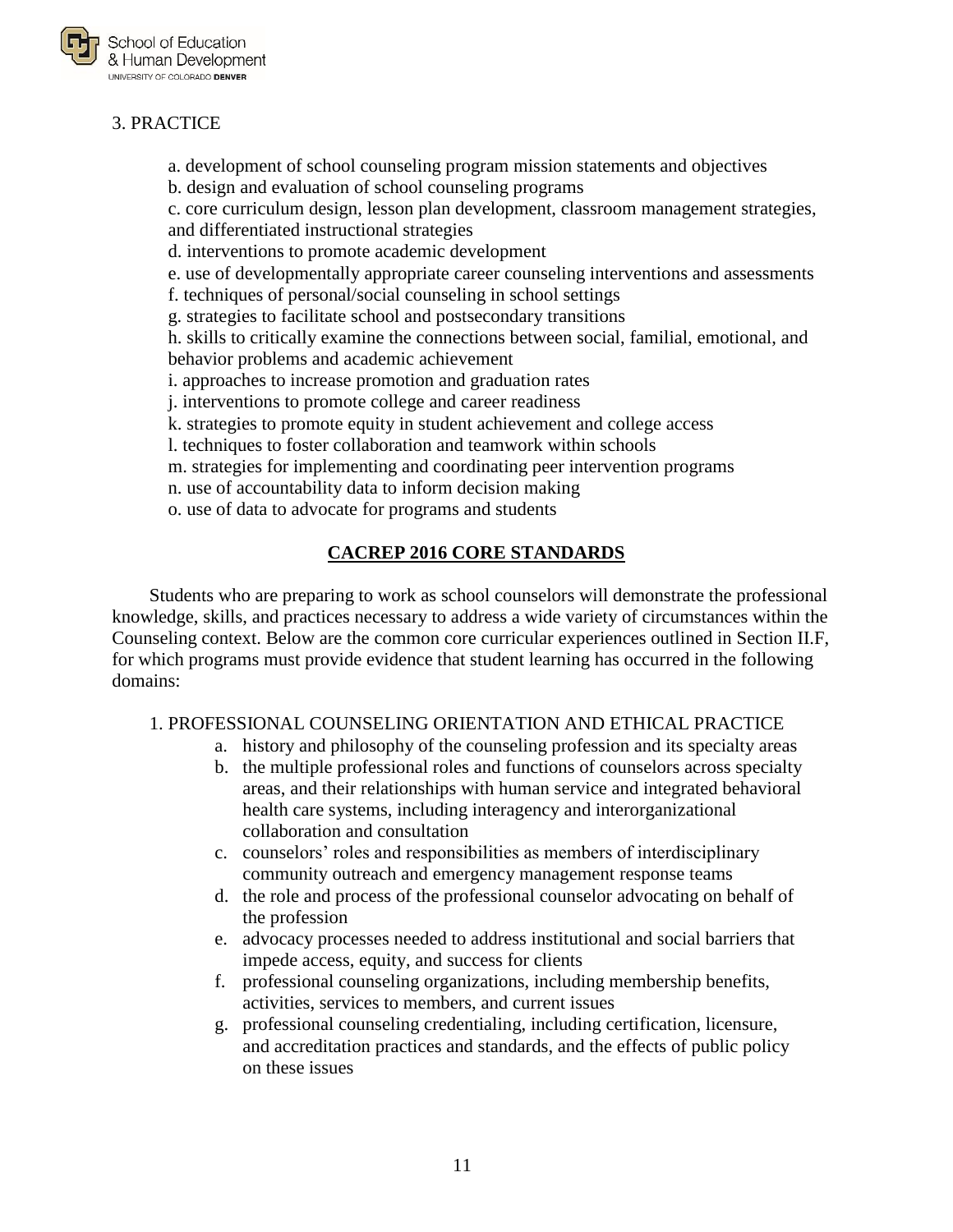

# 3. PRACTICE

a. development of school counseling program mission statements and objectives

b. design and evaluation of school counseling programs

c. core curriculum design, lesson plan development, classroom management strategies, and differentiated instructional strategies

d. interventions to promote academic development

e. use of developmentally appropriate career counseling interventions and assessments

f. techniques of personal/social counseling in school settings

g. strategies to facilitate school and postsecondary transitions

h. skills to critically examine the connections between social, familial, emotional, and behavior problems and academic achievement

i. approaches to increase promotion and graduation rates

j. interventions to promote college and career readiness

- k. strategies to promote equity in student achievement and college access
- l. techniques to foster collaboration and teamwork within schools
- m. strategies for implementing and coordinating peer intervention programs
- n. use of accountability data to inform decision making
- o. use of data to advocate for programs and students

#### **CACREP 2016 CORE STANDARDS**

<span id="page-12-0"></span>Students who are preparing to work as school counselors will demonstrate the professional knowledge, skills, and practices necessary to address a wide variety of circumstances within the Counseling context. Below are the common core curricular experiences outlined in Section II.F, for which programs must provide evidence that student learning has occurred in the following domains:

#### 1. PROFESSIONAL COUNSELING ORIENTATION AND ETHICAL PRACTICE

- a. history and philosophy of the counseling profession and its specialty areas
- b. the multiple professional roles and functions of counselors across specialty areas, and their relationships with human service and integrated behavioral health care systems, including interagency and interorganizational collaboration and consultation
- c. counselors' roles and responsibilities as members of interdisciplinary community outreach and emergency management response teams
- d. the role and process of the professional counselor advocating on behalf of the profession
- e. advocacy processes needed to address institutional and social barriers that impede access, equity, and success for clients
- f. professional counseling organizations, including membership benefits, activities, services to members, and current issues
- g. professional counseling credentialing, including certification, licensure, and accreditation practices and standards, and the effects of public policy on these issues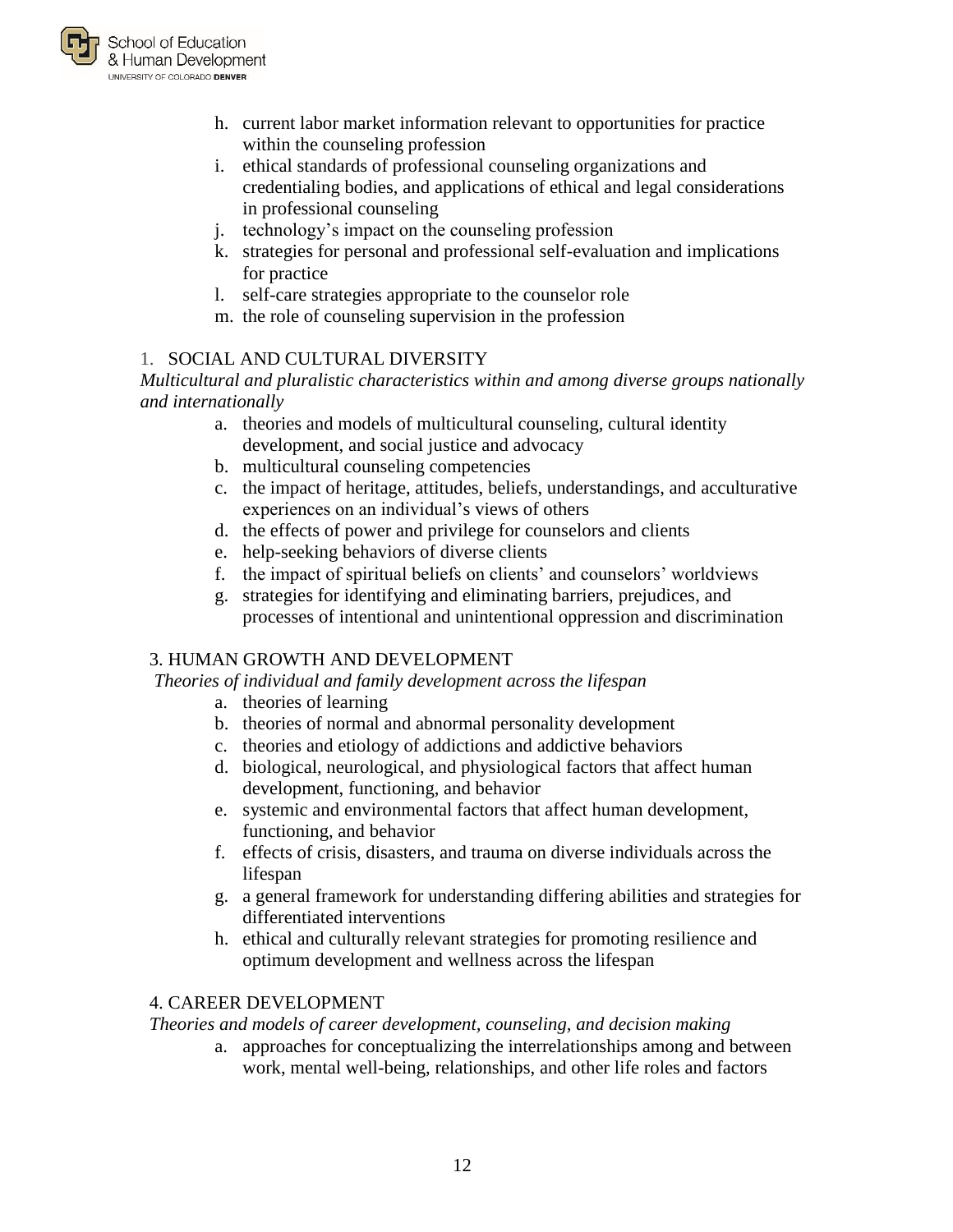

- h. current labor market information relevant to opportunities for practice within the counseling profession
- i. ethical standards of professional counseling organizations and credentialing bodies, and applications of ethical and legal considerations in professional counseling
- j. technology's impact on the counseling profession
- k. strategies for personal and professional self-evaluation and implications for practice
- l. self-care strategies appropriate to the counselor role
- m. the role of counseling supervision in the profession

# 1. SOCIAL AND CULTURAL DIVERSITY

*Multicultural and pluralistic characteristics within and among diverse groups nationally and internationally*

- a. theories and models of multicultural counseling, cultural identity development, and social justice and advocacy
- b. multicultural counseling competencies
- c. the impact of heritage, attitudes, beliefs, understandings, and acculturative experiences on an individual's views of others
- d. the effects of power and privilege for counselors and clients
- e. help-seeking behaviors of diverse clients
- f. the impact of spiritual beliefs on clients' and counselors' worldviews
- g. strategies for identifying and eliminating barriers, prejudices, and processes of intentional and unintentional oppression and discrimination

# 3. HUMAN GROWTH AND DEVELOPMENT

*Theories of individual and family development across the lifespan*

- a. theories of learning
- b. theories of normal and abnormal personality development
- c. theories and etiology of addictions and addictive behaviors
- d. biological, neurological, and physiological factors that affect human development, functioning, and behavior
- e. systemic and environmental factors that affect human development, functioning, and behavior
- f. effects of crisis, disasters, and trauma on diverse individuals across the lifespan
- g. a general framework for understanding differing abilities and strategies for differentiated interventions
- h. ethical and culturally relevant strategies for promoting resilience and optimum development and wellness across the lifespan

# 4. CAREER DEVELOPMENT

*Theories and models of career development, counseling, and decision making*

a. approaches for conceptualizing the interrelationships among and between work, mental well-being, relationships, and other life roles and factors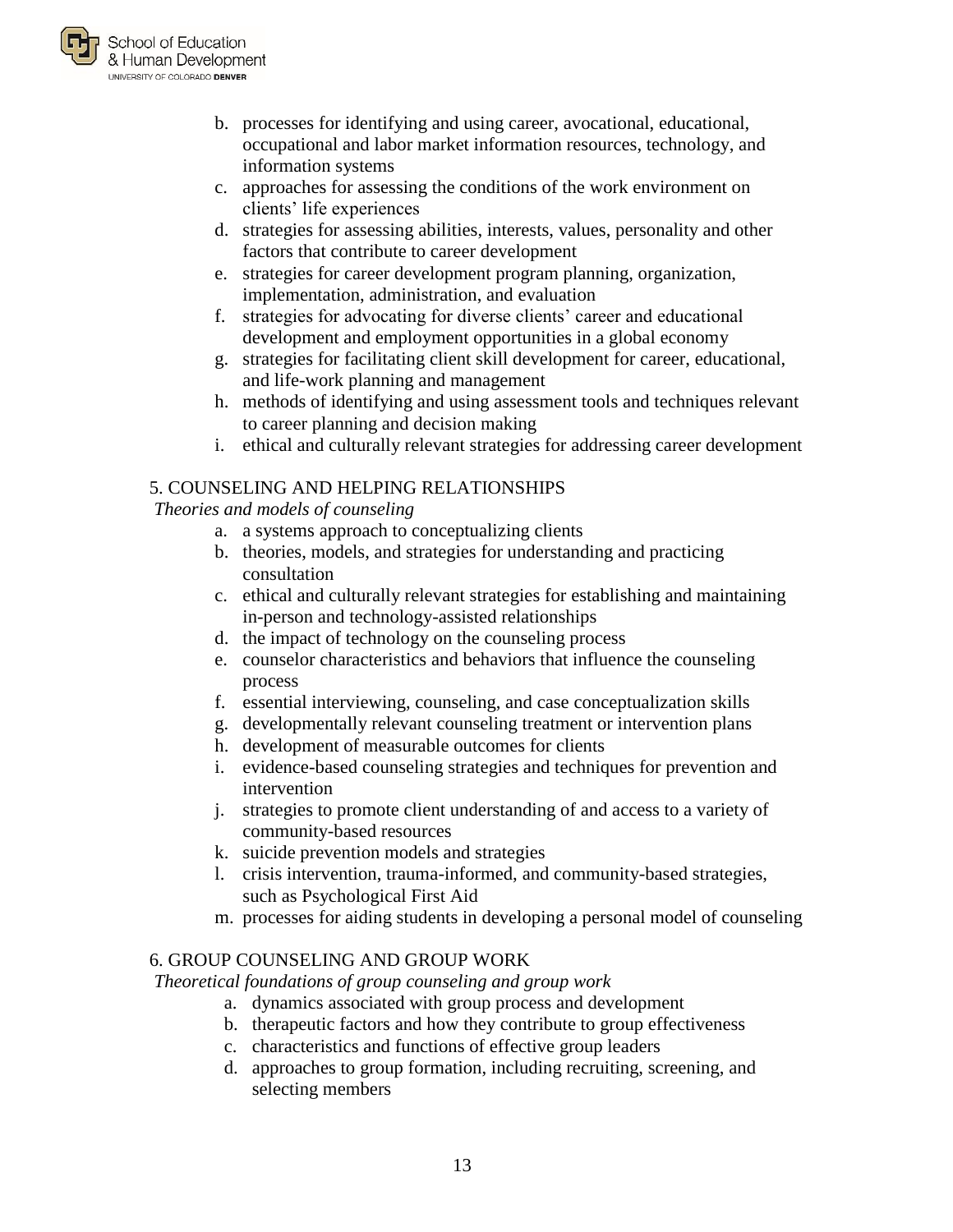

- b. processes for identifying and using career, avocational, educational, occupational and labor market information resources, technology, and information systems
- c. approaches for assessing the conditions of the work environment on clients' life experiences
- d. strategies for assessing abilities, interests, values, personality and other factors that contribute to career development
- e. strategies for career development program planning, organization, implementation, administration, and evaluation
- f. strategies for advocating for diverse clients' career and educational development and employment opportunities in a global economy
- g. strategies for facilitating client skill development for career, educational, and life-work planning and management
- h. methods of identifying and using assessment tools and techniques relevant to career planning and decision making
- i. ethical and culturally relevant strategies for addressing career development

# 5. COUNSELING AND HELPING RELATIONSHIPS

*Theories and models of counseling*

- a. a systems approach to conceptualizing clients
- b. theories, models, and strategies for understanding and practicing consultation
- c. ethical and culturally relevant strategies for establishing and maintaining in-person and technology-assisted relationships
- d. the impact of technology on the counseling process
- e. counselor characteristics and behaviors that influence the counseling process
- f. essential interviewing, counseling, and case conceptualization skills
- g. developmentally relevant counseling treatment or intervention plans
- h. development of measurable outcomes for clients
- i. evidence-based counseling strategies and techniques for prevention and intervention
- j. strategies to promote client understanding of and access to a variety of community-based resources
- k. suicide prevention models and strategies
- l. crisis intervention, trauma-informed, and community-based strategies, such as Psychological First Aid
- m. processes for aiding students in developing a personal model of counseling

# 6. GROUP COUNSELING AND GROUP WORK

*Theoretical foundations of group counseling and group work*

- a. dynamics associated with group process and development
- b. therapeutic factors and how they contribute to group effectiveness
- c. characteristics and functions of effective group leaders
- d. approaches to group formation, including recruiting, screening, and selecting members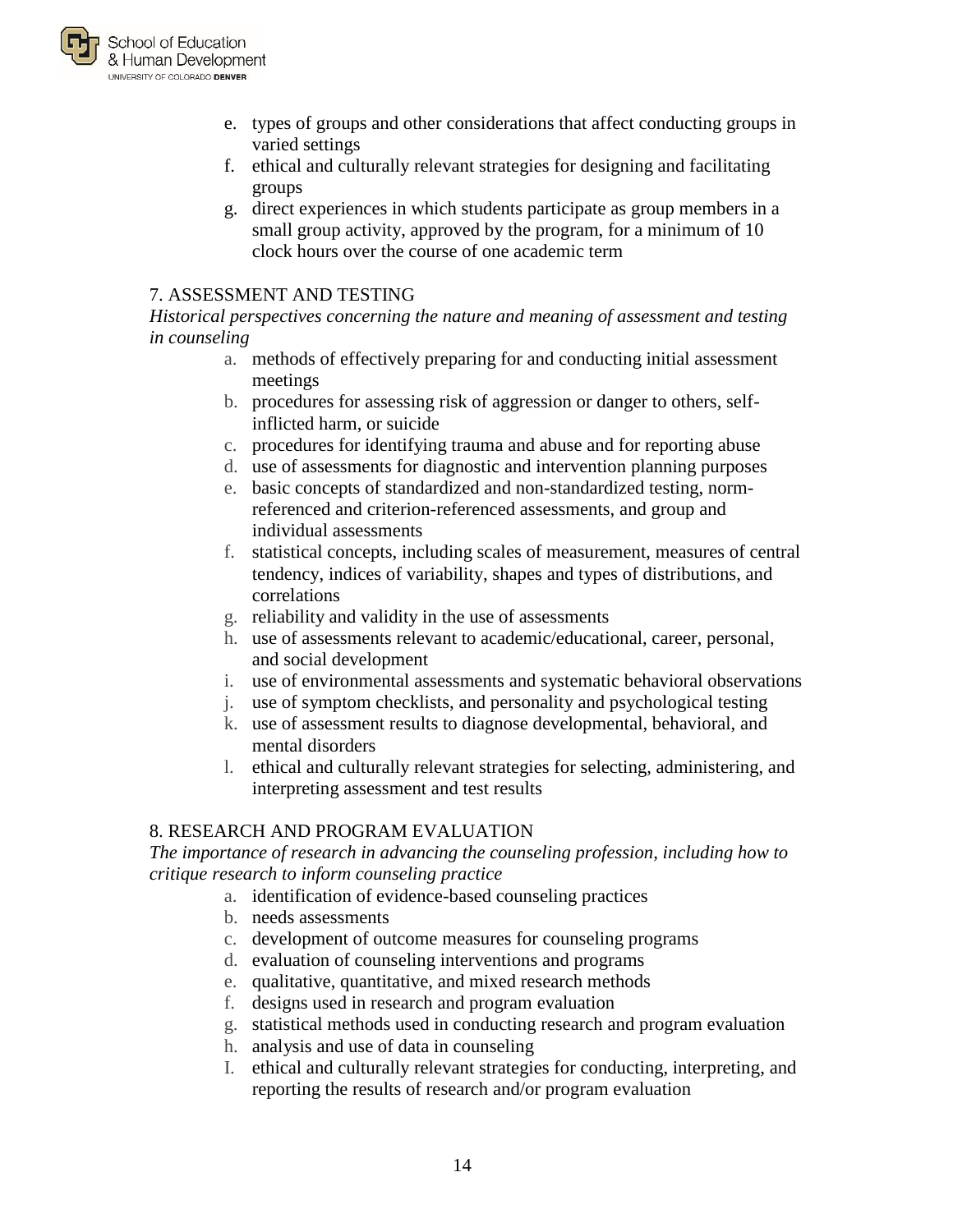

- e. types of groups and other considerations that affect conducting groups in varied settings
- f. ethical and culturally relevant strategies for designing and facilitating groups
- g. direct experiences in which students participate as group members in a small group activity, approved by the program, for a minimum of 10 clock hours over the course of one academic term

#### 7. ASSESSMENT AND TESTING

*Historical perspectives concerning the nature and meaning of assessment and testing in counseling*

- a. methods of effectively preparing for and conducting initial assessment meetings
- b. procedures for assessing risk of aggression or danger to others, selfinflicted harm, or suicide
- c. procedures for identifying trauma and abuse and for reporting abuse
- d. use of assessments for diagnostic and intervention planning purposes
- e. basic concepts of standardized and non-standardized testing, normreferenced and criterion-referenced assessments, and group and individual assessments
- f. statistical concepts, including scales of measurement, measures of central tendency, indices of variability, shapes and types of distributions, and correlations
- g. reliability and validity in the use of assessments
- h. use of assessments relevant to academic/educational, career, personal, and social development
- i. use of environmental assessments and systematic behavioral observations
- j. use of symptom checklists, and personality and psychological testing
- k. use of assessment results to diagnose developmental, behavioral, and mental disorders
- l. ethical and culturally relevant strategies for selecting, administering, and interpreting assessment and test results

#### 8. RESEARCH AND PROGRAM EVALUATION

*The importance of research in advancing the counseling profession, including how to critique research to inform counseling practice*

- a. identification of evidence-based counseling practices
- b. needs assessments
- c. development of outcome measures for counseling programs
- d. evaluation of counseling interventions and programs
- e. qualitative, quantitative, and mixed research methods
- f. designs used in research and program evaluation
- g. statistical methods used in conducting research and program evaluation
- h. analysis and use of data in counseling
- I. ethical and culturally relevant strategies for conducting, interpreting, and reporting the results of research and/or program evaluation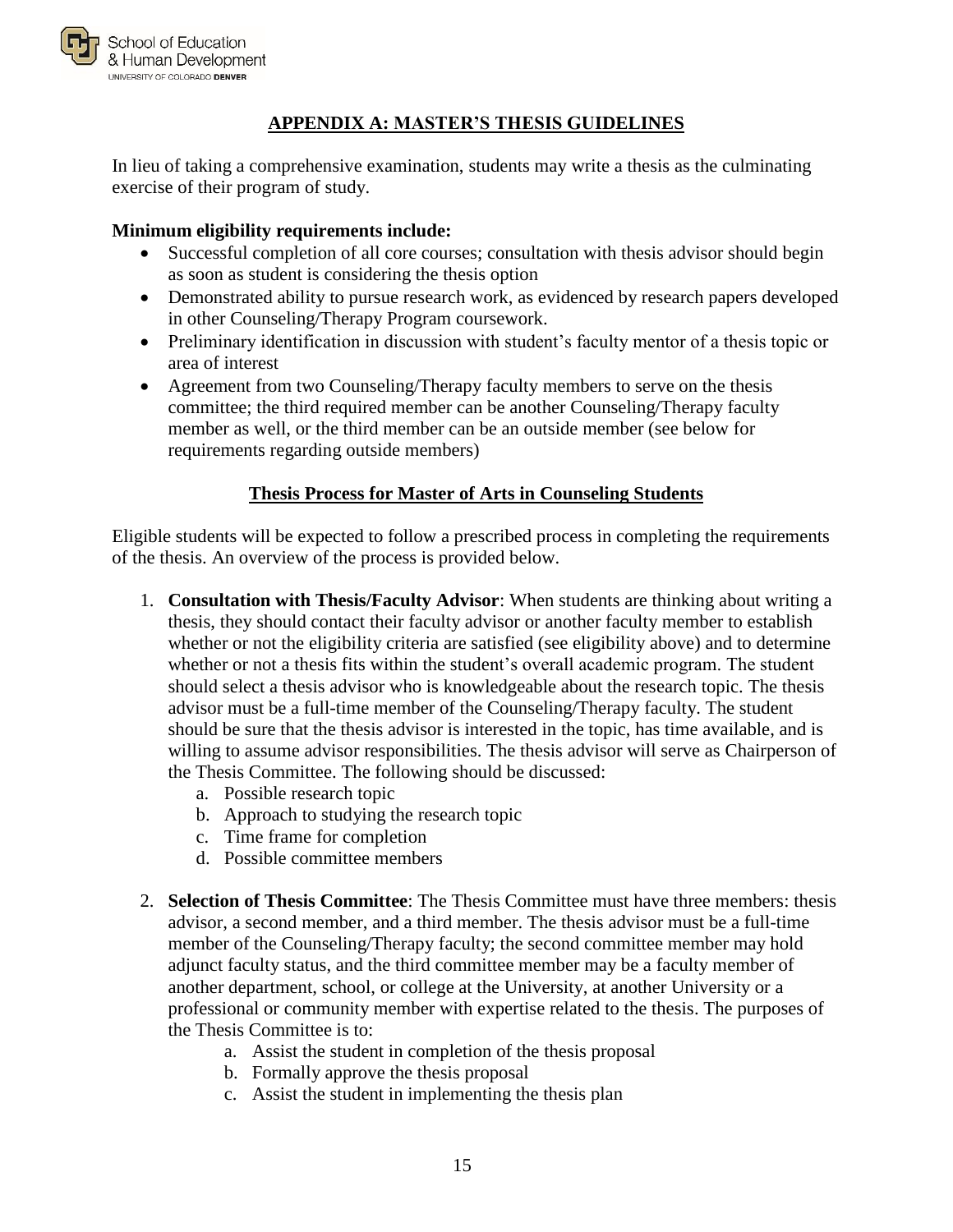

#### **APPENDIX A: MASTER'S THESIS GUIDELINES**

<span id="page-16-0"></span>In lieu of taking a comprehensive examination, students may write a thesis as the culminating exercise of their program of study.

#### **Minimum eligibility requirements include:**

- Successful completion of all core courses; consultation with thesis advisor should begin as soon as student is considering the thesis option
- Demonstrated ability to pursue research work, as evidenced by research papers developed in other Counseling/Therapy Program coursework.
- Preliminary identification in discussion with student's faculty mentor of a thesis topic or area of interest
- Agreement from two Counseling/Therapy faculty members to serve on the thesis committee; the third required member can be another Counseling/Therapy faculty member as well, or the third member can be an outside member (see below for requirements regarding outside members)

# **Thesis Process for Master of Arts in Counseling Students**

Eligible students will be expected to follow a prescribed process in completing the requirements of the thesis. An overview of the process is provided below.

- 1. **Consultation with Thesis/Faculty Advisor**: When students are thinking about writing a thesis, they should contact their faculty advisor or another faculty member to establish whether or not the eligibility criteria are satisfied (see eligibility above) and to determine whether or not a thesis fits within the student's overall academic program. The student should select a thesis advisor who is knowledgeable about the research topic. The thesis advisor must be a full-time member of the Counseling/Therapy faculty. The student should be sure that the thesis advisor is interested in the topic, has time available, and is willing to assume advisor responsibilities. The thesis advisor will serve as Chairperson of the Thesis Committee. The following should be discussed:
	- a. Possible research topic
	- b. Approach to studying the research topic
	- c. Time frame for completion
	- d. Possible committee members
- 2. **Selection of Thesis Committee**: The Thesis Committee must have three members: thesis advisor, a second member, and a third member. The thesis advisor must be a full-time member of the Counseling/Therapy faculty; the second committee member may hold adjunct faculty status, and the third committee member may be a faculty member of another department, school, or college at the University, at another University or a professional or community member with expertise related to the thesis. The purposes of the Thesis Committee is to:
	- a. Assist the student in completion of the thesis proposal
	- b. Formally approve the thesis proposal
	- c. Assist the student in implementing the thesis plan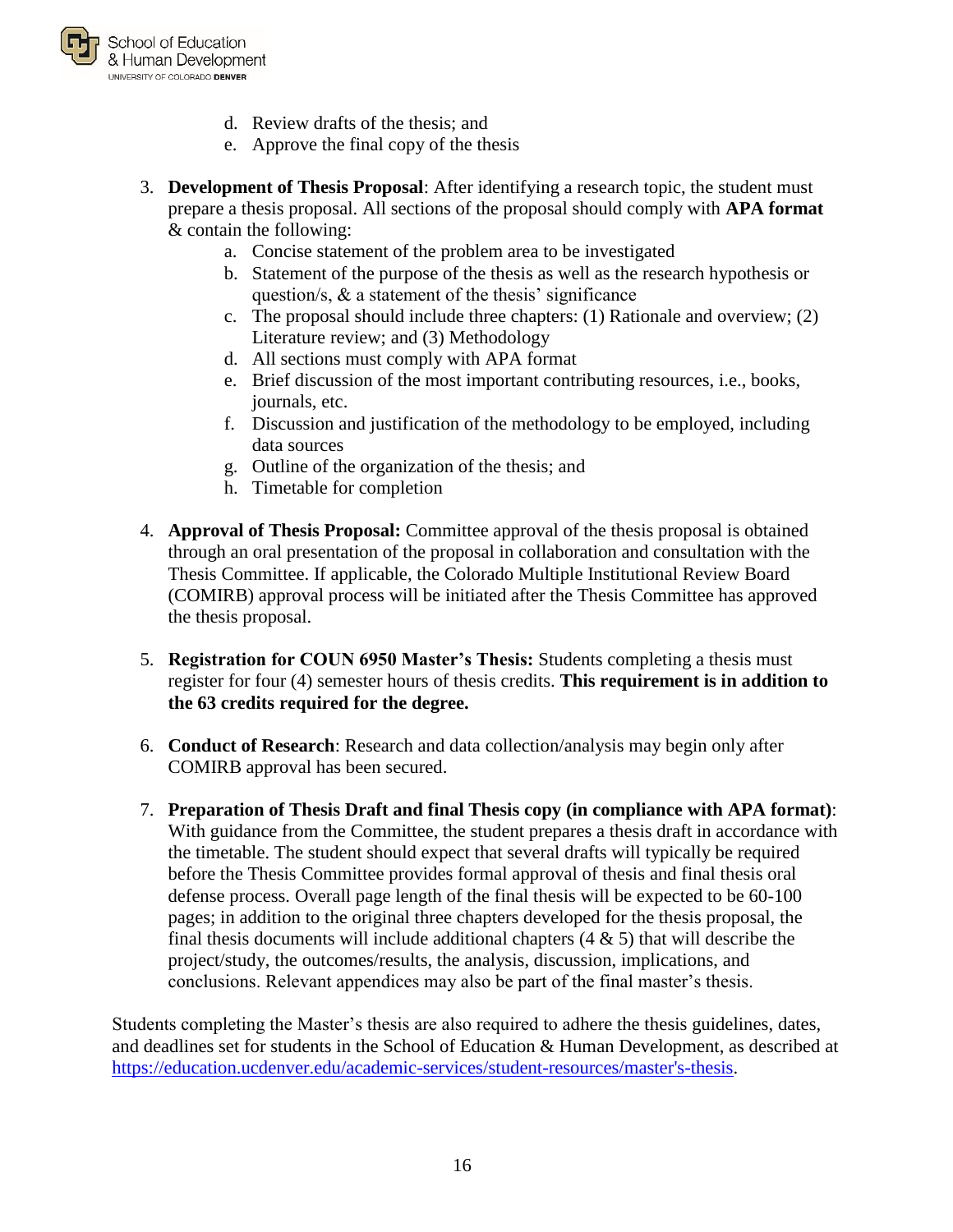

- d. Review drafts of the thesis; and
- e. Approve the final copy of the thesis
- 3. **Development of Thesis Proposal**: After identifying a research topic, the student must prepare a thesis proposal. All sections of the proposal should comply with **APA format** & contain the following:
	- a. Concise statement of the problem area to be investigated
	- b. Statement of the purpose of the thesis as well as the research hypothesis or question/s,  $\&$  a statement of the thesis' significance
	- c. The proposal should include three chapters: (1) Rationale and overview; (2) Literature review; and (3) Methodology
	- d. All sections must comply with APA format
	- e. Brief discussion of the most important contributing resources, i.e., books, journals, etc.
	- f. Discussion and justification of the methodology to be employed, including data sources
	- g. Outline of the organization of the thesis; and
	- h. Timetable for completion
- 4. **Approval of Thesis Proposal:** Committee approval of the thesis proposal is obtained through an oral presentation of the proposal in collaboration and consultation with the Thesis Committee. If applicable, the Colorado Multiple Institutional Review Board (COMIRB) approval process will be initiated after the Thesis Committee has approved the thesis proposal.
- 5. **Registration for COUN 6950 Master's Thesis:** Students completing a thesis must register for four (4) semester hours of thesis credits. **This requirement is in addition to the 63 credits required for the degree.**
- 6. **Conduct of Research**: Research and data collection/analysis may begin only after COMIRB approval has been secured.
- 7. **Preparation of Thesis Draft and final Thesis copy (in compliance with APA format)**: With guidance from the Committee, the student prepares a thesis draft in accordance with the timetable. The student should expect that several drafts will typically be required before the Thesis Committee provides formal approval of thesis and final thesis oral defense process. Overall page length of the final thesis will be expected to be 60-100 pages; in addition to the original three chapters developed for the thesis proposal, the final thesis documents will include additional chapters  $(4 \& 5)$  that will describe the project/study, the outcomes/results, the analysis, discussion, implications, and conclusions. Relevant appendices may also be part of the final master's thesis.

Students completing the Master's thesis are also required to adhere the thesis guidelines, dates, and deadlines set for students in the School of Education & Human Development, as described at [https://education.ucdenver.edu/academic-services/student-resources/master's-thesis.](https://education.ucdenver.edu/academic-services/student-resources/master)